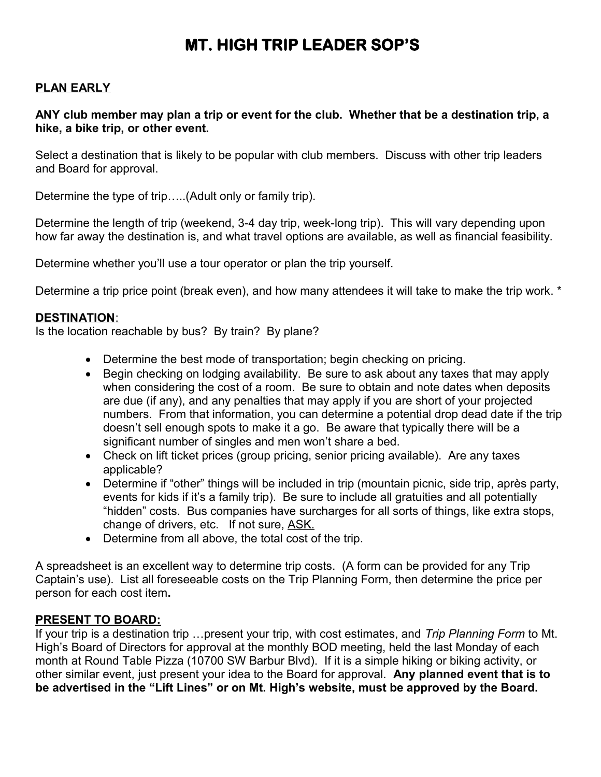# **MT. HIGH TRIP LEADER SOP'S**

#### **PLAN EARLY**

#### **ANY club member may plan a trip or event for the club. Whether that be a destination trip, a hike, a bike trip, or other event.**

Select a destination that is likely to be popular with club members. Discuss with other trip leaders and Board for approval.

Determine the type of trip…..(Adult only or family trip).

Determine the length of trip (weekend, 3-4 day trip, week-long trip). This will vary depending upon how far away the destination is, and what travel options are available, as well as financial feasibility.

Determine whether you'll use a tour operator or plan the trip yourself.

Determine a trip price point (break even), and how many attendees it will take to make the trip work. \*

#### **DESTINATION**:

Is the location reachable by bus? By train? By plane?

- Determine the best mode of transportation; begin checking on pricing.
- Begin checking on lodging availability. Be sure to ask about any taxes that may apply when considering the cost of a room. Be sure to obtain and note dates when deposits are due (if any), and any penalties that may apply if you are short of your projected numbers. From that information, you can determine a potential drop dead date if the trip doesn't sell enough spots to make it a go. Be aware that typically there will be a significant number of singles and men won't share a bed.
- Check on lift ticket prices (group pricing, senior pricing available). Are any taxes applicable?
- Determine if "other" things will be included in trip (mountain picnic, side trip, après party, events for kids if it's a family trip). Be sure to include all gratuities and all potentially "hidden" costs. Bus companies have surcharges for all sorts of things, like extra stops, change of drivers, etc. If not sure, ASK.
- Determine from all above, the total cost of the trip.

A spreadsheet is an excellent way to determine trip costs. (A form can be provided for any Trip Captain's use). List all foreseeable costs on the Trip Planning Form, then determine the price per person for each cost item**.**

#### **PRESENT TO BOARD:**

If your trip is a destination trip …present your trip, with cost estimates, and *Trip Planning Form* to Mt. High's Board of Directors for approval at the monthly BOD meeting, held the last Monday of each month at Round Table Pizza (10700 SW Barbur Blvd). If it is a simple hiking or biking activity, or other similar event, just present your idea to the Board for approval. **Any planned event that is to be advertised in the "Lift Lines" or on Mt. High's website, must be approved by the Board.**